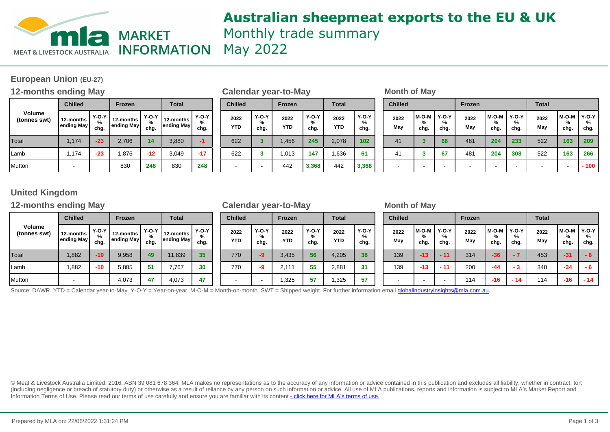

## **Australian sheepmeat exports to the EU & UK** Monthly trade summary May 2022

## **European Union (EU-27)**

## **12-months ending May be a set of Calendar year-to-May be a set of May Month of May**

|                               | <b>Chilled</b>          |                      | <b>Frozen</b>           |                           | <b>Total</b>            |                                                 |  |  |
|-------------------------------|-------------------------|----------------------|-------------------------|---------------------------|-------------------------|-------------------------------------------------|--|--|
| <b>Volume</b><br>(tonnes swt) | 12-months<br>ending May | $Y-O-Y$<br>%<br>chg. | 12-months<br>ending May | <b>Y-O-Y</b><br>%<br>chg. | 12-months<br>ending May | <b>Y-O-Y</b><br>%<br>chg.<br>-1<br>$-17$<br>248 |  |  |
| Total                         | 1,174                   | $-23$                | 2,706                   | 14                        | 3,880                   |                                                 |  |  |
| Lamb                          | 1,174                   | $-23$                | 1,876                   | $-12$                     | 3,049                   |                                                 |  |  |
| Mutton                        |                         |                      | 830                     | 248                       | 830                     |                                                 |  |  |

| <b>Chilled</b>     |                      | <b>Frozen</b>      |                      | <b>Total</b>       |                      |
|--------------------|----------------------|--------------------|----------------------|--------------------|----------------------|
| 2022<br><b>YTD</b> | $Y-O-Y$<br>%<br>chg. | 2022<br><b>YTD</b> | $Y-O-Y$<br>%<br>chg. | 2022<br><b>YTD</b> | $Y-O-Y$<br>%<br>chg. |
| 622                | 3                    | 1,456              | 245                  | 2,078              | 102                  |
| 622                | 3                    | 1,013              | 147                  | 1,636              | 61                   |
|                    |                      | 442                | 3,368                | 442                | 3,368                |

| Frozen              | <b>Total</b>            |                         |                      | <b>Chilled</b> |                          | Frozen               |                    | <b>Total</b>         |                    | <b>Chilled</b>       |             |                      | Frozen               |             |                    | <b>Total</b>         |             |                          |                      |
|---------------------|-------------------------|-------------------------|----------------------|----------------|--------------------------|----------------------|--------------------|----------------------|--------------------|----------------------|-------------|----------------------|----------------------|-------------|--------------------|----------------------|-------------|--------------------------|----------------------|
| -months<br>ding May | $Y-O-Y$<br>$\%$<br>chg. | 12-months<br>ending May | $Y-O-Y$<br>%<br>chg. |                | 2022<br><b>YTD</b>       | $Y-O-Y$<br>%<br>chg. | 2022<br><b>YTD</b> | $Y-O-Y$<br>%<br>chg. | 2022<br><b>YTD</b> | $Y-O-Y$<br>%<br>chg. | 2022<br>May | l M-O-M<br>%<br>chg. | $Y-O-Y$<br>%<br>chg. | 2022<br>May | M-O-M<br>%<br>chg. | $Y-O-Y$<br>%<br>chg. | 2022<br>May | l M-O-M<br>%<br>chg.     | $Y-O-Y$<br>%<br>chg. |
| 2,706               | 14 <sub>1</sub>         | 3,880                   | -1                   |                | 622                      | 3                    | 1,456              | 245                  | 2,078              | 102                  | 41          |                      | 68                   | 481         | 204                | 233                  | 522         | 163                      | 209                  |
| 1,876               | $-12$                   | 3,049                   | $-17$                |                | 622                      | ◚                    | .013               | 147                  | .636               | 61                   | 41          |                      | 67                   | 481         | 204                | 308                  | 522         | 163                      | 266                  |
| 830                 | 248                     | 830                     | 248                  |                | $\overline{\phantom{a}}$ |                      | 442                | 3,368                | 442                | 3,368                |             | -                    |                      |             |                    |                      |             | $\overline{\phantom{0}}$ | $-100$               |

## **United Kingdom**

## **12-months ending May Calendar year-to-May Month of May**

|                               | <b>Chilled</b>          |                           | <b>Frozen</b> |                                          | <b>Total</b>            |                      |  |  |
|-------------------------------|-------------------------|---------------------------|---------------|------------------------------------------|-------------------------|----------------------|--|--|
| <b>Volume</b><br>(tonnes swt) | 12-months<br>ending May | <b>Y-O-Y</b><br>%<br>chg. |               | <b>Y-O-Y</b><br>%<br>ending May!<br>chg. | 12-months<br>ending May | $Y-O-Y$<br>%<br>chg. |  |  |
| Total                         | 1,882                   | $-10$                     | 9,958         | 49                                       | 11,839                  | 35                   |  |  |
| Lamb                          | 1,882                   | -10                       | 5,885         | 51                                       | 7,767                   | 30                   |  |  |
| Mutton                        |                         |                           | 4,073         | 47                                       | 4,073                   | 47                   |  |  |

| <b>Chilled</b>     |                      | <b>Frozen</b>      |                      | <b>Total</b>       |                      |  |  |  |
|--------------------|----------------------|--------------------|----------------------|--------------------|----------------------|--|--|--|
| 2022<br><b>YTD</b> | $Y-O-Y$<br>%<br>chg. | 2022<br><b>YTD</b> | $Y-O-Y$<br>%<br>chg. | 2022<br><b>YTD</b> | $Y-O-Y$<br>%<br>chg. |  |  |  |
| 770                | -9                   | 3,435              | 56                   | 4,205              | 38                   |  |  |  |
| 770                | -9                   | 2,111              | 55                   | 2,881              | 31                   |  |  |  |
|                    |                      | 1,325              | 57                   | 1,325              | 57                   |  |  |  |

| Frozen              | <b>Total</b>       |                         | <b>Chilled</b>            |                    | Frozen               |             | Total                |             | <b>Chilled</b>       |             |                    | Frozen               |             |                    | <b>Total</b>       |             |                      |                 |
|---------------------|--------------------|-------------------------|---------------------------|--------------------|----------------------|-------------|----------------------|-------------|----------------------|-------------|--------------------|----------------------|-------------|--------------------|--------------------|-------------|----------------------|-----------------|
| -months<br>ding May | Y-O-Y<br>%<br>chg. | 12-months<br>ending May | <b>Y-O-Y</b><br>%<br>chg. | 2022<br><b>YTD</b> | $Y-O-Y$<br>%<br>chg. | 2022<br>YTD | $Y-O-Y$<br>%<br>chg. | 2022<br>YTD | $Y-O-Y$<br>%<br>chg. | 2022<br>May | M-O-M<br>%<br>chg. | $Y-O-Y$<br>%<br>chg. | 2022<br>May | M-O-M<br>%<br>chg. | Y-O-Y<br>%<br>chg. | 2022<br>May | l M-O-M<br>%<br>chg. | $Y-O-Y$<br>chg. |
| 9,958               | 49                 | 11,839                  | 35                        | 770                | -9                   | 3,435       | 56                   | 4,205       | 38                   | 139         | $-13$              |                      | 314         | $-36$              |                    | 453         | $-31$                | - 8             |
| 5,885               | 51                 | 7.767                   | 30                        | 770                | -9                   | 2.111       | 55                   | 2,881       | 31                   | 139         | $-13$              | - 11                 | 200         | $-44$              | $-3$               | 340         | $-34$                | - 6             |
| 4,073               | 47                 | 4,073                   | 47                        |                    |                      | ,325        | 57                   | ,325        | 57                   |             |                    |                      | 114         | $-16$              | $-14$              | 114         | $-16$                | $-14$           |

Source: DAWR. YTD = Calendar year-to-May. Y-O-Y = Year-on-year. M-O-M = Month-on-month. SWT = Shipped weight. For further information email **globalindustryinsights@mla.com.au.** 

© Meat & Livestock Australia Limited, 2016. ABN 39 081 678 364. MLA makes no representations as to the accuracy of any information or advice contained in this publication and excludes all liability, whether in contract, tort (including negligence or breach of statutory duty) or otherwise as a result of reliance by any person on such information or advice. All use of MLA publications, reports and information is subject to MLA's Market Report an Information Terms of Use. Please read our terms of use carefully and ensure you are familiar with its content [- click here for MLA](http://www.mla.com.au/files/edae0364-a185-4a6f-9dff-a42700d1463a/MLA-Market-Report-and-Information-Terms-of-use-Dec-2014.pdf)'[s terms of use.](http://www.mla.com.au/files/edae0364-a185-4a6f-9dff-a42700d1463a/MLA-Market-Report-and-Information-Terms-of-use-Dec-2014.pdf)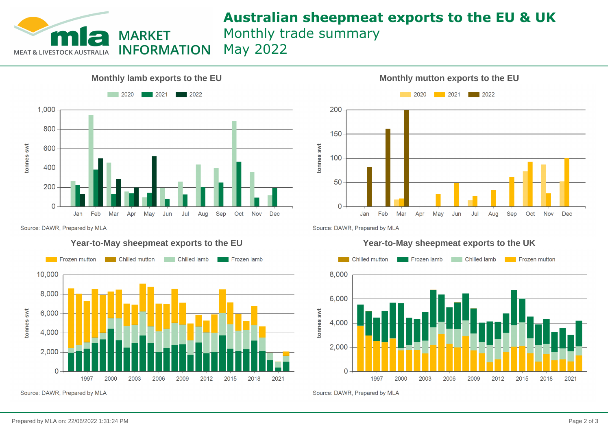

# **Australian sheepmeat exports to the EU & UK**

Monthly trade summary May 2022

**INFORMATION** 



Source: DAWR, Prepared by MLA

### **Year-to-May sheepmeat exports to the EU**



Source: DAWR, Prepared by MLA



Source: DAWR, Prepared by MLA



Source: DAWR, Prepared by MLA